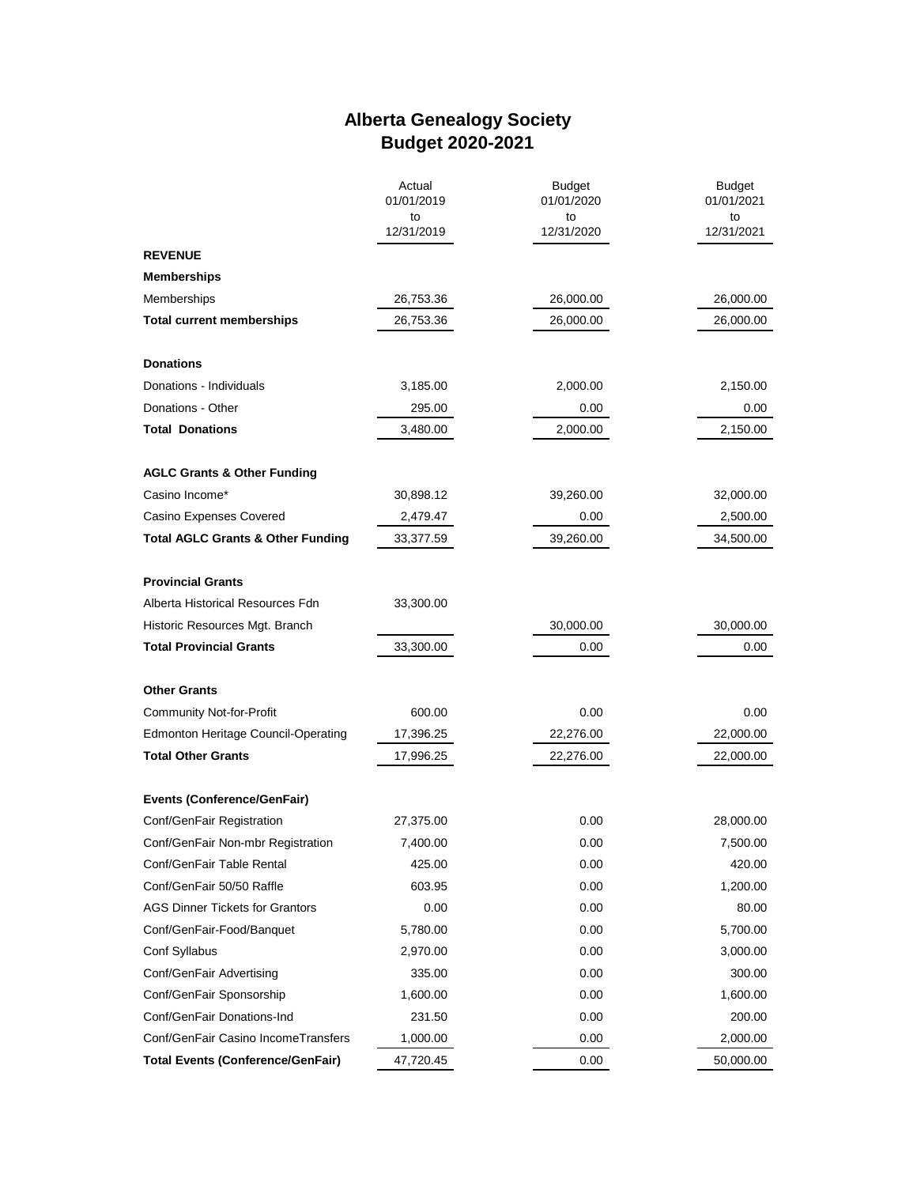## **Alberta Genealogy Society Budget 2020-2021**

|                                              | Actual<br>01/01/2019<br>to<br>12/31/2019 | <b>Budget</b><br>01/01/2020<br>to<br>12/31/2020 | <b>Budget</b><br>01/01/2021<br>to<br>12/31/2021 |
|----------------------------------------------|------------------------------------------|-------------------------------------------------|-------------------------------------------------|
|                                              |                                          |                                                 |                                                 |
| <b>REVENUE</b>                               |                                          |                                                 |                                                 |
| <b>Memberships</b>                           |                                          |                                                 |                                                 |
| Memberships                                  | 26,753.36                                | 26,000.00                                       | 26,000.00                                       |
| <b>Total current memberships</b>             | 26,753.36                                | 26,000.00                                       | 26,000.00                                       |
|                                              |                                          |                                                 |                                                 |
| <b>Donations</b>                             |                                          |                                                 |                                                 |
| Donations - Individuals                      | 3,185.00                                 | 2,000.00                                        | 2,150.00                                        |
| Donations - Other                            | 295.00                                   | 0.00                                            | 0.00                                            |
| <b>Total Donations</b>                       | 3,480.00                                 | 2,000.00                                        | 2,150.00                                        |
| <b>AGLC Grants &amp; Other Funding</b>       |                                          |                                                 |                                                 |
| Casino Income*                               | 30,898.12                                | 39,260.00                                       | 32,000.00                                       |
| Casino Expenses Covered                      | 2,479.47                                 | 0.00                                            | 2,500.00                                        |
| <b>Total AGLC Grants &amp; Other Funding</b> | 33,377.59                                | 39,260.00                                       | 34,500.00                                       |
| <b>Provincial Grants</b>                     |                                          |                                                 |                                                 |
| Alberta Historical Resources Fdn             | 33,300.00                                |                                                 |                                                 |
| Historic Resources Mgt. Branch               |                                          | 30,000.00                                       | 30,000.00                                       |
| <b>Total Provincial Grants</b>               | 33,300.00                                | 0.00                                            | 0.00                                            |
| <b>Other Grants</b>                          |                                          |                                                 |                                                 |
| <b>Community Not-for-Profit</b>              | 600.00                                   | 0.00                                            | 0.00                                            |
| <b>Edmonton Heritage Council-Operating</b>   | 17,396.25                                | 22,276.00                                       | 22,000.00                                       |
| <b>Total Other Grants</b>                    | 17,996.25                                | 22,276.00                                       | 22,000.00                                       |
| <b>Events (Conference/GenFair)</b>           |                                          |                                                 |                                                 |
| Conf/GenFair Registration                    | 27,375.00                                | 0.00                                            | 28,000.00                                       |
| Conf/GenFair Non-mbr Registration            | 7,400.00                                 | 0.00                                            | 7,500.00                                        |
| Conf/GenFair Table Rental                    | 425.00                                   | 0.00                                            | 420.00                                          |
| Conf/GenFair 50/50 Raffle                    | 603.95                                   | 0.00                                            | 1,200.00                                        |
| <b>AGS Dinner Tickets for Grantors</b>       | 0.00                                     | 0.00                                            | 80.00                                           |
| Conf/GenFair-Food/Banquet                    | 5,780.00                                 | 0.00                                            | 5,700.00                                        |
| Conf Syllabus                                | 2,970.00                                 | 0.00                                            | 3,000.00                                        |
| Conf/GenFair Advertising                     | 335.00                                   | 0.00                                            | 300.00                                          |
| Conf/GenFair Sponsorship                     | 1,600.00                                 | 0.00                                            | 1,600.00                                        |
| Conf/GenFair Donations-Ind                   | 231.50                                   | 0.00                                            | 200.00                                          |
| Conf/GenFair Casino IncomeTransfers          | 1,000.00                                 | 0.00                                            | 2,000.00                                        |
| <b>Total Events (Conference/GenFair)</b>     | 47,720.45                                | 0.00                                            | 50,000.00                                       |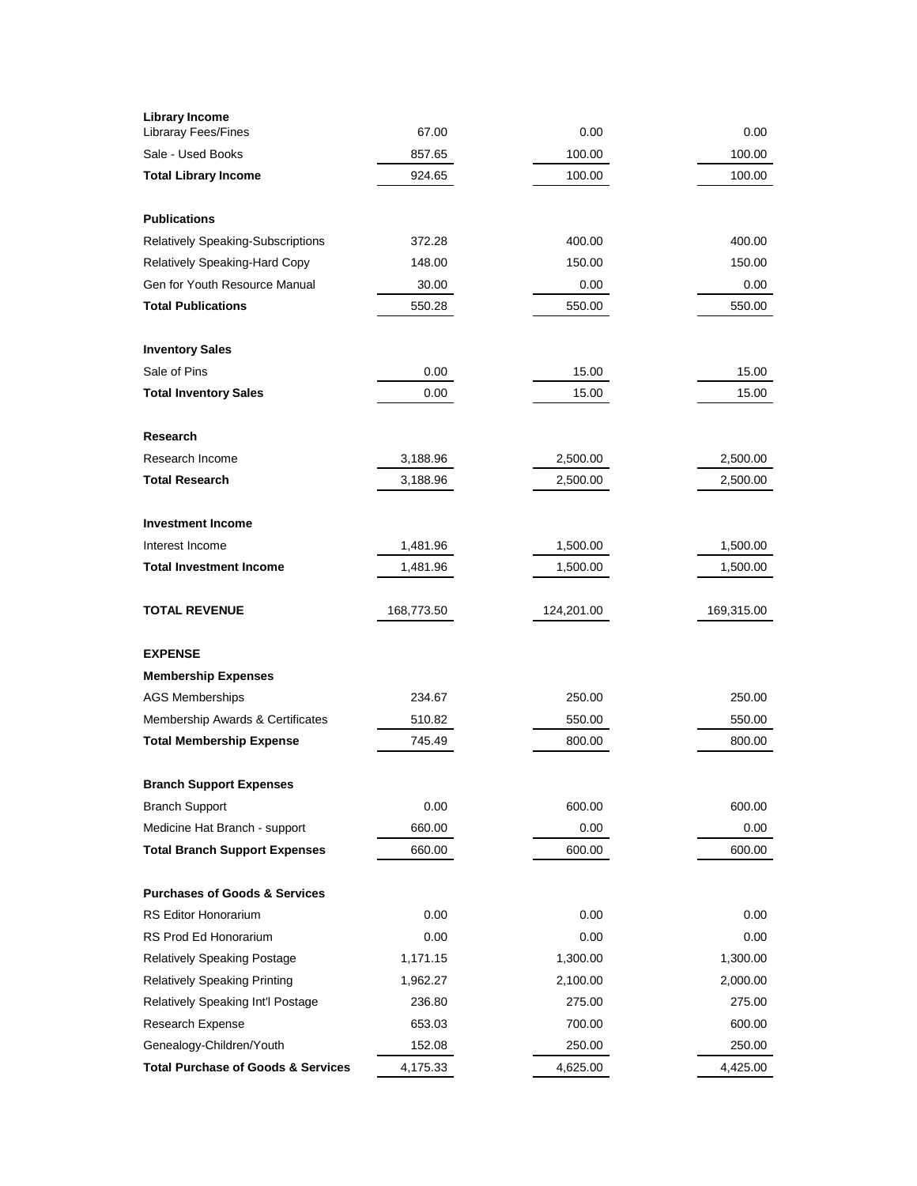| <b>Library Income</b><br>Libraray Fees/Fines  | 67.00      | 0.00       | 0.00       |
|-----------------------------------------------|------------|------------|------------|
| Sale - Used Books                             | 857.65     | 100.00     | 100.00     |
| <b>Total Library Income</b>                   | 924.65     | 100.00     | 100.00     |
|                                               |            |            |            |
| <b>Publications</b>                           |            |            |            |
| Relatively Speaking-Subscriptions             | 372.28     | 400.00     | 400.00     |
| Relatively Speaking-Hard Copy                 | 148.00     | 150.00     | 150.00     |
| Gen for Youth Resource Manual                 | 30.00      | 0.00       | 0.00       |
| <b>Total Publications</b>                     | 550.28     | 550.00     | 550.00     |
| <b>Inventory Sales</b>                        |            |            |            |
| Sale of Pins                                  | 0.00       | 15.00      | 15.00      |
| <b>Total Inventory Sales</b>                  | 0.00       | 15.00      | 15.00      |
| <b>Research</b>                               |            |            |            |
| Research Income                               | 3,188.96   | 2,500.00   | 2,500.00   |
| <b>Total Research</b>                         | 3,188.96   | 2,500.00   | 2,500.00   |
|                                               |            |            |            |
| <b>Investment Income</b>                      |            |            |            |
| Interest Income                               | 1,481.96   | 1,500.00   | 1,500.00   |
| <b>Total Investment Income</b>                | 1,481.96   | 1,500.00   | 1,500.00   |
| <b>TOTAL REVENUE</b>                          | 168,773.50 | 124,201.00 | 169,315.00 |
| <b>EXPENSE</b>                                |            |            |            |
| <b>Membership Expenses</b>                    |            |            |            |
| <b>AGS Memberships</b>                        | 234.67     | 250.00     | 250.00     |
| Membership Awards & Certificates              | 510.82     | 550.00     | 550.00     |
| <b>Total Membership Expense</b>               | 745.49     | 800.00     | 800.00     |
| <b>Branch Support Expenses</b>                |            |            |            |
| <b>Branch Support</b>                         | 0.00       | 600.00     | 600.00     |
| Medicine Hat Branch - support                 | 660.00     | 0.00       | 0.00       |
| <b>Total Branch Support Expenses</b>          | 660.00     | 600.00     | 600.00     |
| <b>Purchases of Goods &amp; Services</b>      |            |            |            |
| <b>RS Editor Honorarium</b>                   | 0.00       | 0.00       | 0.00       |
| RS Prod Ed Honorarium                         | 0.00       | 0.00       | 0.00       |
| Relatively Speaking Postage                   | 1,171.15   | 1,300.00   | 1,300.00   |
| <b>Relatively Speaking Printing</b>           | 1,962.27   | 2,100.00   | 2,000.00   |
| Relatively Speaking Int'l Postage             | 236.80     | 275.00     | 275.00     |
| Research Expense                              | 653.03     | 700.00     | 600.00     |
| Genealogy-Children/Youth                      | 152.08     | 250.00     | 250.00     |
| <b>Total Purchase of Goods &amp; Services</b> | 4,175.33   | 4,625.00   | 4,425.00   |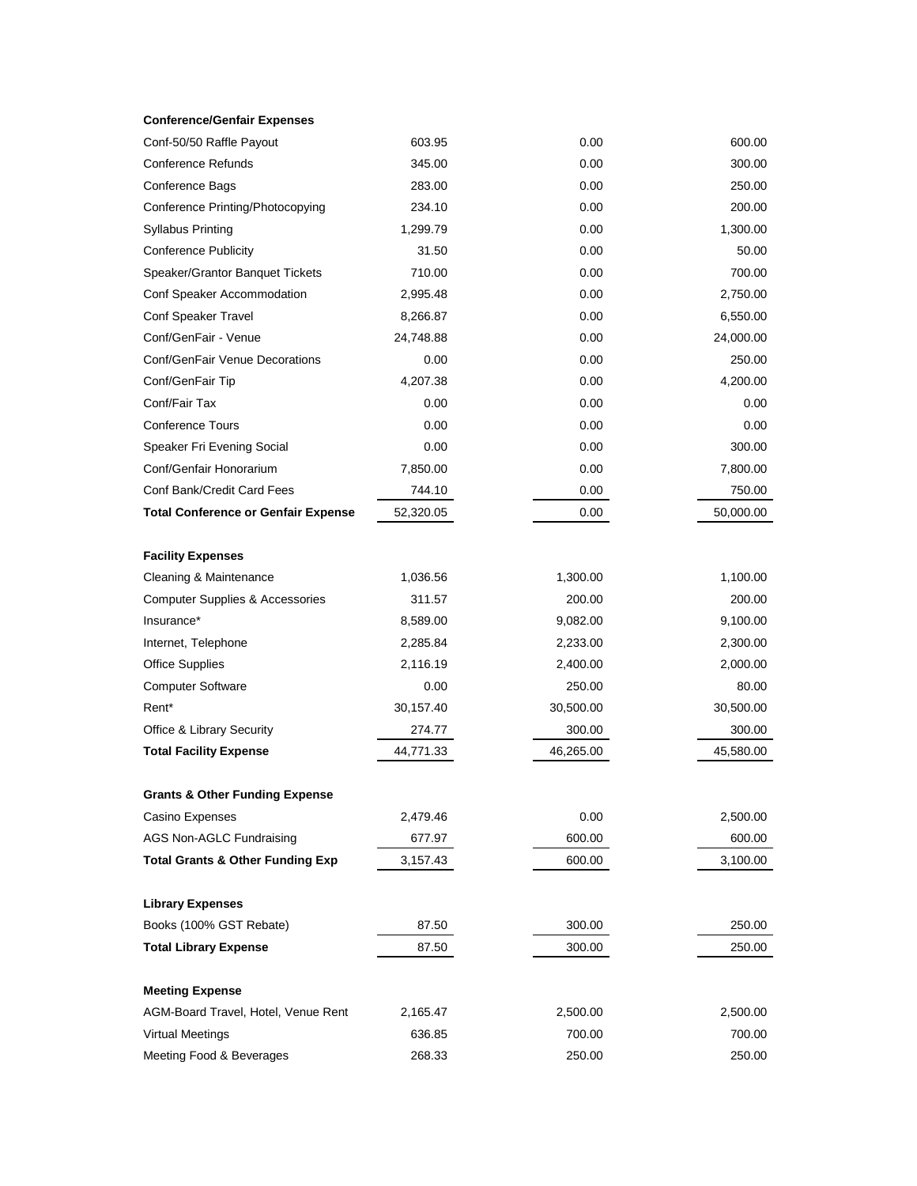| <b>Conference/Genfair Expenses</b> |  |
|------------------------------------|--|
|------------------------------------|--|

| Conf-50/50 Raffle Payout                    | 603.95    | 0.00      | 600.00    |
|---------------------------------------------|-----------|-----------|-----------|
| <b>Conference Refunds</b>                   | 345.00    | 0.00      | 300.00    |
| Conference Bags                             | 283.00    | 0.00      | 250.00    |
| Conference Printing/Photocopying            | 234.10    | 0.00      | 200.00    |
| <b>Syllabus Printing</b>                    | 1,299.79  | 0.00      | 1,300.00  |
| <b>Conference Publicity</b>                 | 31.50     | 0.00      | 50.00     |
| Speaker/Grantor Banquet Tickets             | 710.00    | 0.00      | 700.00    |
| Conf Speaker Accommodation                  | 2,995.48  | 0.00      | 2,750.00  |
| Conf Speaker Travel                         | 8,266.87  | 0.00      | 6,550.00  |
| Conf/GenFair - Venue                        | 24,748.88 | 0.00      | 24,000.00 |
| Conf/GenFair Venue Decorations              | 0.00      | 0.00      | 250.00    |
| Conf/GenFair Tip                            | 4,207.38  | 0.00      | 4,200.00  |
| Conf/Fair Tax                               | 0.00      | 0.00      | 0.00      |
| <b>Conference Tours</b>                     | 0.00      | 0.00      | 0.00      |
| Speaker Fri Evening Social                  | 0.00      | 0.00      | 300.00    |
| Conf/Genfair Honorarium                     | 7,850.00  | 0.00      | 7,800.00  |
| Conf Bank/Credit Card Fees                  | 744.10    | 0.00      | 750.00    |
| <b>Total Conference or Genfair Expense</b>  | 52,320.05 | 0.00      | 50,000.00 |
| <b>Facility Expenses</b>                    |           |           |           |
| Cleaning & Maintenance                      | 1,036.56  | 1,300.00  | 1,100.00  |
| <b>Computer Supplies &amp; Accessories</b>  | 311.57    | 200.00    | 200.00    |
| Insurance*                                  | 8,589.00  | 9,082.00  | 9,100.00  |
| Internet, Telephone                         | 2,285.84  | 2,233.00  | 2,300.00  |
| <b>Office Supplies</b>                      | 2,116.19  | 2,400.00  | 2,000.00  |
| <b>Computer Software</b>                    | 0.00      | 250.00    | 80.00     |
| Rent*                                       | 30,157.40 | 30,500.00 | 30,500.00 |
| Office & Library Security                   | 274.77    | 300.00    | 300.00    |
| <b>Total Facility Expense</b>               | 44,771.33 | 46,265.00 | 45,580.00 |
| <b>Grants &amp; Other Funding Expense</b>   |           |           |           |
| Casino Expenses                             | 2,479.46  | 0.00      | 2,500.00  |
| AGS Non-AGLC Fundraising                    | 677.97    | 600.00    | 600.00    |
| <b>Total Grants &amp; Other Funding Exp</b> | 3,157.43  | 600.00    | 3,100.00  |
| <b>Library Expenses</b>                     |           |           |           |
| Books (100% GST Rebate)                     | 87.50     | 300.00    | 250.00    |
| <b>Total Library Expense</b>                | 87.50     | 300.00    | 250.00    |
| <b>Meeting Expense</b>                      |           |           |           |
| AGM-Board Travel, Hotel, Venue Rent         | 2,165.47  | 2,500.00  | 2,500.00  |
| <b>Virtual Meetings</b>                     | 636.85    | 700.00    | 700.00    |
| Meeting Food & Beverages                    | 268.33    | 250.00    | 250.00    |